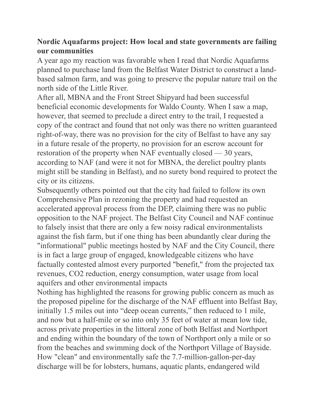## **Nordic Aquafarms project: How local and state governments are failing our communities**

A year ago my reaction was favorable when I read that Nordic Aquafarms planned to purchase land from the Belfast Water District to construct a landbased salmon farm, and was going to preserve the popular nature trail on the north side of the Little River.

After all, MBNA and the Front Street Shipyard had been successful beneficial economic developments for Waldo County. When I saw a map, however, that seemed to preclude a direct entry to the trail, I requested a copy of the contract and found that not only was there no written guaranteed right-of-way, there was no provision for the city of Belfast to have any say in a future resale of the property, no provision for an escrow account for restoration of the property when NAF eventually closed — 30 years, according to NAF (and were it not for MBNA, the derelict poultry plants might still be standing in Belfast), and no surety bond required to protect the city or its citizens.

Subsequently others pointed out that the city had failed to follow its own Comprehensive Plan in rezoning the property and had requested an accelerated approval process from the DEP, claiming there was no public opposition to the NAF project. The Belfast City Council and NAF continue to falsely insist that there are only a few noisy radical environmentalists against the fish farm, but if one thing has been abundantly clear during the "informational" public meetings hosted by NAF and the City Council, there is in fact a large group of engaged, knowledgeable citizens who have factually contested almost every purported "benefit," from the projected tax revenues, CO2 reduction, energy consumption, water usage from local aquifers and other environmental impacts

Nothing has highlighted the reasons for growing public concern as much as the proposed pipeline for the discharge of the NAF effluent into Belfast Bay, initially 1.5 miles out into "deep ocean currents," then reduced to 1 mile, and now but a half-mile or so into only 35 feet of water at mean low tide, across private properties in the littoral zone of both Belfast and Northport and ending within the boundary of the town of Northport only a mile or so from the beaches and swimming dock of the Northport Village of Bayside. How "clean" and environmentally safe the 7.7-million-gallon-per-day discharge will be for lobsters, humans, aquatic plants, endangered wild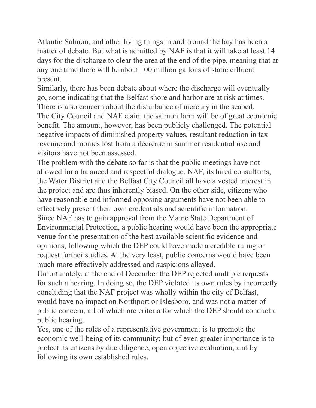Atlantic Salmon, and other living things in and around the bay has been a matter of debate. But what is admitted by NAF is that it will take at least 14 days for the discharge to clear the area at the end of the pipe, meaning that at any one time there will be about 100 million gallons of static effluent present.

Similarly, there has been debate about where the discharge will eventually go, some indicating that the Belfast shore and harbor are at risk at times. There is also concern about the disturbance of mercury in the seabed. The City Council and NAF claim the salmon farm will be of great economic benefit. The amount, however, has been publicly challenged. The potential negative impacts of diminished property values, resultant reduction in tax revenue and monies lost from a decrease in summer residential use and visitors have not been assessed.

The problem with the debate so far is that the public meetings have not allowed for a balanced and respectful dialogue. NAF, its hired consultants, the Water District and the Belfast City Council all have a vested interest in the project and are thus inherently biased. On the other side, citizens who have reasonable and informed opposing arguments have not been able to effectively present their own credentials and scientific information. Since NAF has to gain approval from the Maine State Department of Environmental Protection, a public hearing would have been the appropriate venue for the presentation of the best available scientific evidence and opinions, following which the DEP could have made a credible ruling or request further studies. At the very least, public concerns would have been

much more effectively addressed and suspicions allayed.

Unfortunately, at the end of December the DEP rejected multiple requests for such a hearing. In doing so, the DEP violated its own rules by incorrectly concluding that the NAF project was wholly within the city of Belfast, would have no impact on Northport or Islesboro, and was not a matter of public concern, all of which are criteria for which the DEP should conduct a public hearing.

Yes, one of the roles of a representative government is to promote the economic well-being of its community; but of even greater importance is to protect its citizens by due diligence, open objective evaluation, and by following its own established rules.